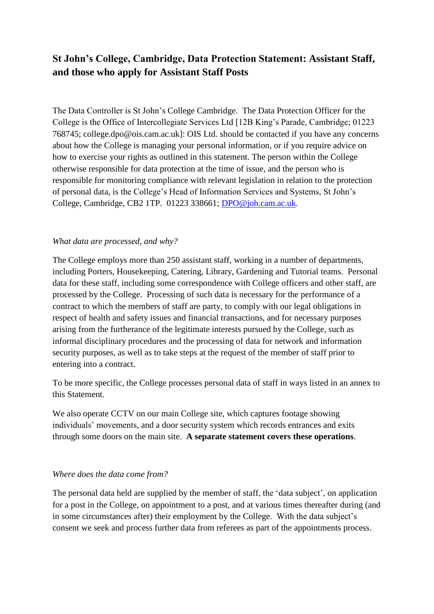# **St John's College, Cambridge, Data Protection Statement: Assistant Staff, and those who apply for Assistant Staff Posts**

The Data Controller is St John's College Cambridge. The Data Protection Officer for the College is the Office of Intercollegiate Services Ltd [12B King's Parade, Cambridge; 01223 768745; college.dpo@ois.cam.ac.uk]: OIS Ltd. should be contacted if you have any concerns about how the College is managing your personal information, or if you require advice on how to exercise your rights as outlined in this statement. The person within the College otherwise responsible for data protection at the time of issue, and the person who is responsible for monitoring compliance with relevant legislation in relation to the protection of personal data, is the College's Head of Information Services and Systems, St John's College, Cambridge, CB2 1TP. 01223 338661; [DPO@joh.cam.ac.uk.](mailto:DPO@joh.cam.ac.uk)

#### *What data are processed, and why?*

The College employs more than 250 assistant staff, working in a number of departments, including Porters, Housekeeping, Catering, Library, Gardening and Tutorial teams. Personal data for these staff, including some correspondence with College officers and other staff, are processed by the College. Processing of such data is necessary for the performance of a contract to which the members of staff are party, to comply with our legal obligations in respect of health and safety issues and financial transactions, and for necessary purposes arising from the furtherance of the legitimate interests pursued by the College, such as informal disciplinary procedures and the processing of data for network and information security purposes, as well as to take steps at the request of the member of staff prior to entering into a contract.

To be more specific, the College processes personal data of staff in ways listed in an annex to this Statement.

We also operate CCTV on our main College site, which captures footage showing individuals' movements, and a door security system which records entrances and exits through some doors on the main site. **A separate statement covers these operations**.

#### *Where does the data come from?*

The personal data held are supplied by the member of staff, the 'data subject', on application for a post in the College, on appointment to a post, and at various times thereafter during (and in some circumstances after) their employment by the College. With the data subject's consent we seek and process further data from referees as part of the appointments process.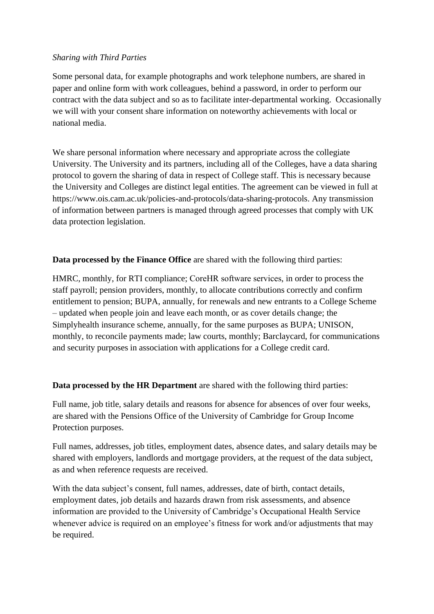### *Sharing with Third Parties*

Some personal data, for example photographs and work telephone numbers, are shared in paper and online form with work colleagues, behind a password, in order to perform our contract with the data subject and so as to facilitate inter-departmental working. Occasionally we will with your consent share information on noteworthy achievements with local or national media.

We share personal information where necessary and appropriate across the collegiate University. The University and its partners, including all of the Colleges, have a data sharing protocol to govern the sharing of data in respect of College staff. This is necessary because the University and Colleges are distinct legal entities. The agreement can be viewed in full at https://www.ois.cam.ac.uk/policies-and-protocols/data-sharing-protocols. Any transmission of information between partners is managed through agreed processes that comply with UK data protection legislation.

### **Data processed by the Finance Office** are shared with the following third parties:

HMRC, monthly, for RTI compliance; CoreHR software services, in order to process the staff payroll; pension providers, monthly, to allocate contributions correctly and confirm entitlement to pension; BUPA, annually, for renewals and new entrants to a College Scheme – updated when people join and leave each month, or as cover details change; the Simplyhealth insurance scheme, annually, for the same purposes as BUPA; UNISON, monthly, to reconcile payments made; law courts, monthly; Barclaycard, for communications and security purposes in association with applications for a College credit card.

### **Data processed by the HR Department** are shared with the following third parties:

Full name, job title, salary details and reasons for absence for absences of over four weeks, are shared with the Pensions Office of the University of Cambridge for Group Income Protection purposes.

Full names, addresses, job titles, employment dates, absence dates, and salary details may be shared with employers, landlords and mortgage providers, at the request of the data subject, as and when reference requests are received.

With the data subject's consent, full names, addresses, date of birth, contact details, employment dates, job details and hazards drawn from risk assessments, and absence information are provided to the University of Cambridge's Occupational Health Service whenever advice is required on an employee's fitness for work and/or adjustments that may be required.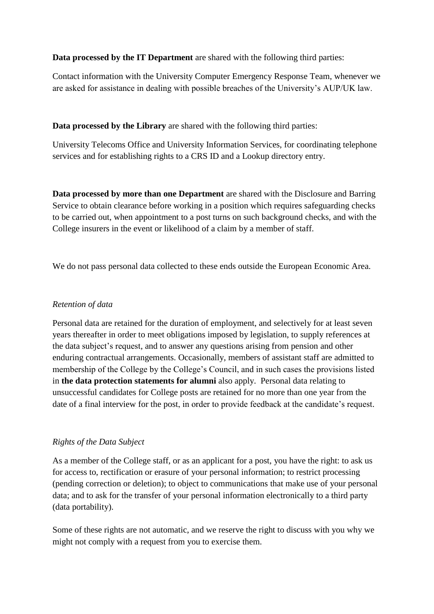**Data processed by the IT Department** are shared with the following third parties:

Contact information with the University Computer Emergency Response Team, whenever we are asked for assistance in dealing with possible breaches of the University's AUP/UK law.

**Data processed by the Library** are shared with the following third parties:

University Telecoms Office and University Information Services, for coordinating telephone services and for establishing rights to a CRS ID and a Lookup directory entry.

**Data processed by more than one Department** are shared with the Disclosure and Barring Service to obtain clearance before working in a position which requires safeguarding checks to be carried out, when appointment to a post turns on such background checks, and with the College insurers in the event or likelihood of a claim by a member of staff.

We do not pass personal data collected to these ends outside the European Economic Area.

## *Retention of data*

Personal data are retained for the duration of employment, and selectively for at least seven years thereafter in order to meet obligations imposed by legislation, to supply references at the data subject's request, and to answer any questions arising from pension and other enduring contractual arrangements. Occasionally, members of assistant staff are admitted to membership of the College by the College's Council, and in such cases the provisions listed in **the data protection statements for alumni** also apply. Personal data relating to unsuccessful candidates for College posts are retained for no more than one year from the date of a final interview for the post, in order to provide feedback at the candidate's request.

# *Rights of the Data Subject*

As a member of the College staff, or as an applicant for a post, you have the right: to ask us for access to, rectification or erasure of your personal information; to restrict processing (pending correction or deletion); to object to communications that make use of your personal data; and to ask for the transfer of your personal information electronically to a third party (data portability).

Some of these rights are not automatic, and we reserve the right to discuss with you why we might not comply with a request from you to exercise them.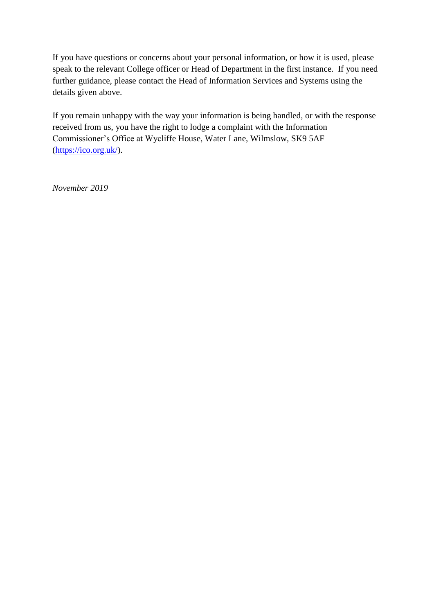If you have questions or concerns about your personal information, or how it is used, please speak to the relevant College officer or Head of Department in the first instance. If you need further guidance, please contact the Head of Information Services and Systems using the details given above.

If you remain unhappy with the way your information is being handled, or with the response received from us, you have the right to lodge a complaint with the Information Commissioner's Office at Wycliffe House, Water Lane, Wilmslow, SK9 5AF [\(https://ico.org.uk/\)](https://ico.org.uk/).

*November 2019*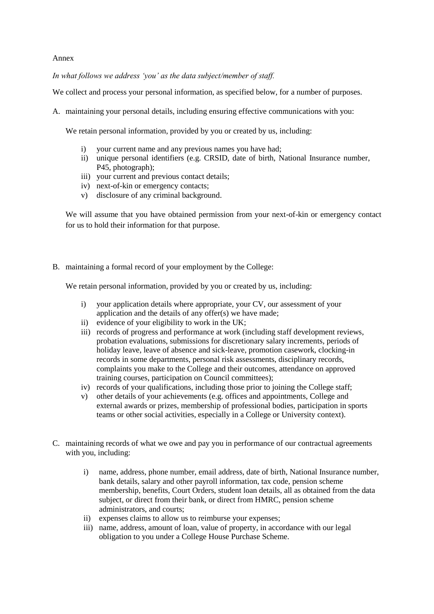#### Annex

*In what follows we address 'you' as the data subject/member of staff.*

We collect and process your personal information, as specified below, for a number of purposes.

A. maintaining your personal details, including ensuring effective communications with you:

We retain personal information, provided by you or created by us, including:

- i) vour current name and any previous names you have had;
- ii) unique personal identifiers (e.g. CRSID, date of birth, National Insurance number, P45, photograph);
- iii) your current and previous contact details;
- iv) next-of-kin or emergency contacts;
- v) disclosure of any criminal background.

We will assume that you have obtained permission from your next-of-kin or emergency contact for us to hold their information for that purpose.

B. maintaining a formal record of your employment by the College:

We retain personal information, provided by you or created by us, including:

- i) your application details where appropriate, your CV, our assessment of your application and the details of any offer(s) we have made;
- ii) evidence of your eligibility to work in the UK;
- iii) records of progress and performance at work (including staff development reviews, probation evaluations, submissions for discretionary salary increments, periods of holiday leave, leave of absence and sick-leave, promotion casework, clocking-in records in some departments, personal risk assessments, disciplinary records, complaints you make to the College and their outcomes, attendance on approved training courses, participation on Council committees);
- iv) records of your qualifications, including those prior to joining the College staff;
- v) other details of your achievements (e.g. offices and appointments, College and external awards or prizes, membership of professional bodies, participation in sports teams or other social activities, especially in a College or University context).
- C. maintaining records of what we owe and pay you in performance of our contractual agreements with you, including:
	- i) name, address, phone number, email address, date of birth, National Insurance number, bank details, salary and other payroll information, tax code, pension scheme membership, benefits, Court Orders, student loan details, all as obtained from the data subject, or direct from their bank, or direct from HMRC, pension scheme administrators, and courts;
	- ii) expenses claims to allow us to reimburse your expenses;
	- iii) name, address, amount of loan, value of property, in accordance with our legal obligation to you under a College House Purchase Scheme.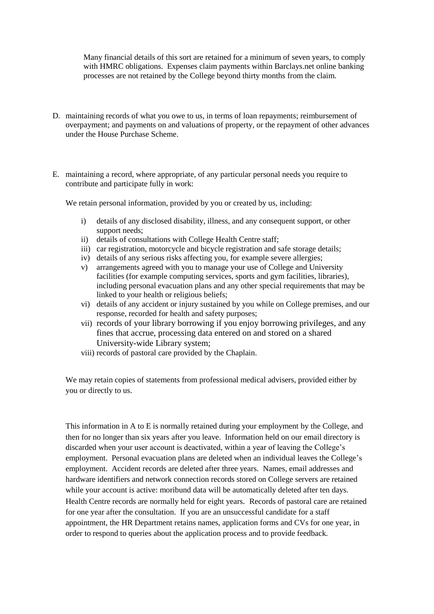Many financial details of this sort are retained for a minimum of seven years, to comply with HMRC obligations. Expenses claim payments within Barclays.net online banking processes are not retained by the College beyond thirty months from the claim.

- D. maintaining records of what you owe to us, in terms of loan repayments; reimbursement of overpayment; and payments on and valuations of property, or the repayment of other advances under the House Purchase Scheme.
- E. maintaining a record, where appropriate, of any particular personal needs you require to contribute and participate fully in work:

We retain personal information, provided by you or created by us, including:

- i) details of any disclosed disability, illness, and any consequent support, or other support needs;
- ii) details of consultations with College Health Centre staff;
- iii) car registration, motorcycle and bicycle registration and safe storage details;
- iv) details of any serious risks affecting you, for example severe allergies;
- v) arrangements agreed with you to manage your use of College and University facilities (for example computing services, sports and gym facilities, libraries), including personal evacuation plans and any other special requirements that may be linked to your health or religious beliefs;
- vi) details of any accident or injury sustained by you while on College premises, and our response, recorded for health and safety purposes;
- vii) records of your library borrowing if you enjoy borrowing privileges, and any fines that accrue, processing data entered on and stored on a shared University-wide Library system;
- viii) records of pastoral care provided by the Chaplain.

We may retain copies of statements from professional medical advisers, provided either by you or directly to us.

This information in A to E is normally retained during your employment by the College, and then for no longer than six years after you leave. Information held on our email directory is discarded when your user account is deactivated, within a year of leaving the College's employment. Personal evacuation plans are deleted when an individual leaves the College's employment. Accident records are deleted after three years. Names, email addresses and hardware identifiers and network connection records stored on College servers are retained while your account is active: moribund data will be automatically deleted after ten days. Health Centre records are normally held for eight years. Records of pastoral care are retained for one year after the consultation. If you are an unsuccessful candidate for a staff appointment, the HR Department retains names, application forms and CVs for one year, in order to respond to queries about the application process and to provide feedback.